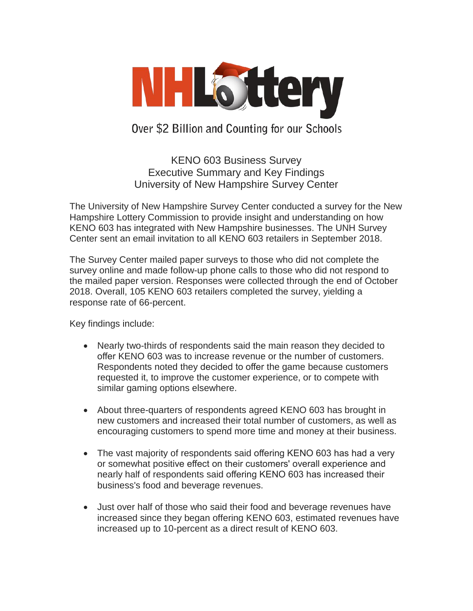

Over \$2 Billion and Counting for our Schools

KENO 603 Business Survey Executive Summary and Key Findings University of New Hampshire Survey Center

The University of New Hampshire Survey Center conducted a survey for the New Hampshire Lottery Commission to provide insight and understanding on how KENO 603 has integrated with New Hampshire businesses. The UNH Survey Center sent an email invitation to all KENO 603 retailers in September 2018.

The Survey Center mailed paper surveys to those who did not complete the survey online and made follow-up phone calls to those who did not respond to the mailed paper version. Responses were collected through the end of October 2018. Overall, 105 KENO 603 retailers completed the survey, yielding a response rate of 66-percent.

Key findings include:

- Nearly two-thirds of respondents said the main reason they decided to offer KENO 603 was to increase revenue or the number of customers. Respondents noted they decided to offer the game because customers requested it, to improve the customer experience, or to compete with similar gaming options elsewhere.
- About three-quarters of respondents agreed KENO 603 has brought in new customers and increased their total number of customers, as well as encouraging customers to spend more time and money at their business.
- The vast majority of respondents said offering KENO 603 has had a very or somewhat positive effect on their customers' overall experience and nearly half of respondents said offering KENO 603 has increased their business's food and beverage revenues.
- Just over half of those who said their food and beverage revenues have increased since they began offering KENO 603, estimated revenues have increased up to 10-percent as a direct result of KENO 603.